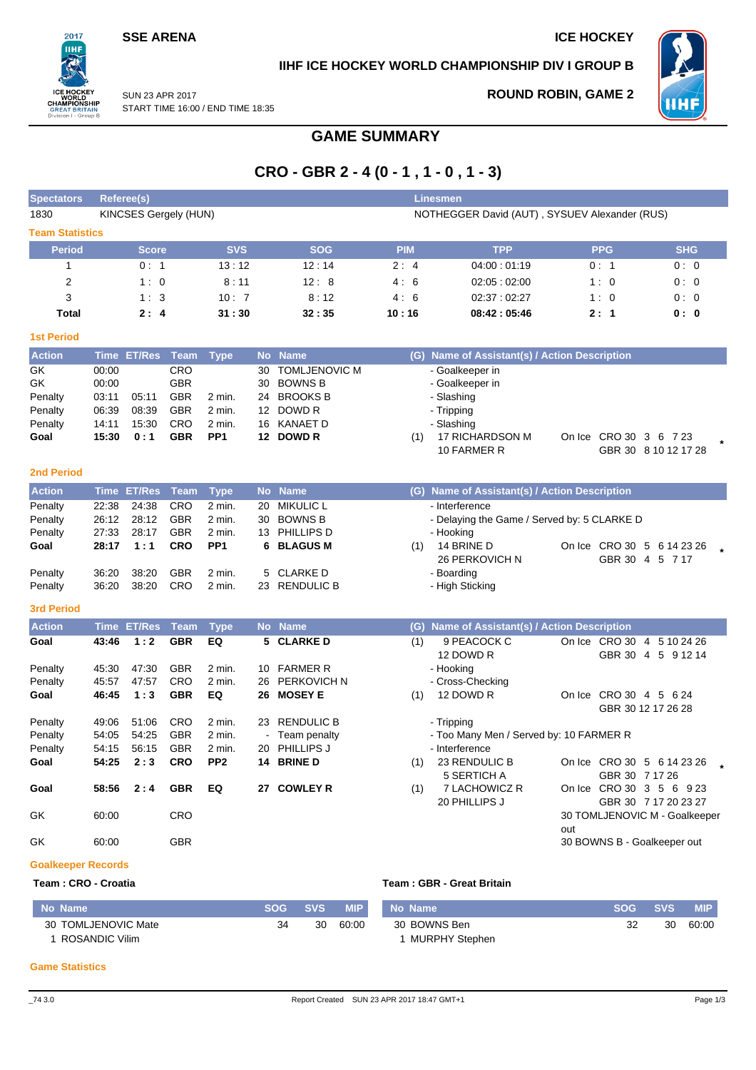## **SSE ARENA ICE HOCKEY**

 $2017$ пні

**REATI** 

## **IIHF ICE HOCKEY WORLD CHAMPIONSHIP DIV I GROUP B**



SUN 23 APR 2017 START TIME 16:00 / END TIME 18:35 n I - Groui

## **ROUND ROBIN, GAME 2**

# **GAME SUMMARY**

# **CRO - GBR 2 - 4 (0 - 1 , 1 - 0 , 1 - 3)**

| <b>Spectators</b>         |       | Referee(s)                   |            |                 |    |                      |            | <b>Linesmen</b>                               |                               |                      |
|---------------------------|-------|------------------------------|------------|-----------------|----|----------------------|------------|-----------------------------------------------|-------------------------------|----------------------|
| 1830                      |       | <b>KINCSES Gergely (HUN)</b> |            |                 |    |                      |            | NOTHEGGER David (AUT), SYSUEV Alexander (RUS) |                               |                      |
| <b>Team Statistics</b>    |       |                              |            |                 |    |                      |            |                                               |                               |                      |
| <b>Period</b>             |       | <b>Score</b>                 |            | <b>SVS</b>      |    | <b>SOG</b>           | <b>PIM</b> | <b>TPP</b>                                    | <b>PPG</b>                    | <b>SHG</b>           |
| 1                         |       | 0:1                          |            | 13:12           |    | 12:14                | 2:4        | 04:00:01:19                                   | 0:1                           | 0:0                  |
| 2                         |       | 1:0                          |            | 8:11            |    | 12:8                 | 4:6        | 02:05:02:00                                   | 1:0                           | 0:0                  |
| 3                         |       | 1:3                          |            | 10:7            |    | 8:12                 | 4:6        | 02:37:02:27                                   | 1:0                           | 0:0                  |
| Total                     |       | 2:4                          |            | 31:30           |    | 32:35                | 10:16      | 08:42:05:46                                   | 2:1                           | 0: 0                 |
| <b>1st Period</b>         |       |                              |            |                 |    |                      |            |                                               |                               |                      |
| <b>Action</b>             |       | Time ET/Res Team             |            | <b>Type</b>     |    | No Name              |            | (G) Name of Assistant(s) / Action Description |                               |                      |
| GK                        | 00:00 |                              | CRO        |                 | 30 | <b>TOMLJENOVIC M</b> |            | - Goalkeeper in                               |                               |                      |
| GK                        | 00:00 |                              | <b>GBR</b> |                 | 30 | <b>BOWNS B</b>       |            | - Goalkeeper in                               |                               |                      |
| Penalty                   | 03:11 | 05:11                        | <b>GBR</b> | 2 min.          |    | 24 BROOKS B          |            | - Slashing                                    |                               |                      |
| Penalty                   | 06:39 | 08:39                        | <b>GBR</b> | 2 min.          |    | 12 DOWD R            |            | - Tripping                                    |                               |                      |
| Penalty                   | 14:11 | 15:30                        | <b>CRO</b> | 2 min.          |    | 16 KANAET D          |            | - Slashing                                    |                               |                      |
| Goal                      | 15:30 | 0:1                          | <b>GBR</b> | PP <sub>1</sub> |    | 12 DOWD R            | (1)        | 17 RICHARDSON M                               | On Ice CRO 30 3 6 7 23        |                      |
|                           |       |                              |            |                 |    |                      |            | 10 FARMER R                                   |                               | GBR 30 8 10 12 17 28 |
| <b>2nd Period</b>         |       |                              |            |                 |    |                      |            |                                               |                               |                      |
| <b>Action</b>             |       | Time ET/Res                  | Team       | <b>Type</b>     |    | No Name              |            | (G) Name of Assistant(s) / Action Description |                               |                      |
| Penalty                   | 22:38 | 24:38                        | CRO        | 2 min.          | 20 | <b>MIKULIC L</b>     |            | - Interference                                |                               |                      |
| Penalty                   | 26:12 | 28:12                        | <b>GBR</b> | 2 min.          | 30 | <b>BOWNS B</b>       |            | - Delaying the Game / Served by: 5 CLARKE D   |                               |                      |
| Penalty                   | 27:33 | 28:17                        | <b>GBR</b> | 2 min.          | 13 | PHILLIPS D           |            | - Hooking                                     |                               |                      |
| Goal                      | 28:17 | 1:1                          | <b>CRO</b> | PP <sub>1</sub> | 6. | <b>BLAGUS M</b>      | (1)        | 14 BRINE D                                    | On Ice CRO 30 5 6 14 23 26    |                      |
|                           |       |                              |            |                 |    |                      |            | 26 PERKOVICH N                                |                               | GBR 30 4 5 7 17      |
| Penalty                   | 36:20 | 38:20                        | <b>GBR</b> | 2 min.          | 5  | <b>CLARKE D</b>      |            | - Boarding                                    |                               |                      |
| Penalty                   | 36:20 | 38:20                        | CRO        | 2 min.          |    | 23 RENDULIC B        |            | - High Sticking                               |                               |                      |
| <b>3rd Period</b>         |       |                              |            |                 |    |                      |            |                                               |                               |                      |
| <b>Action</b>             |       | Time ET/Res                  | Team       | <b>Type</b>     |    | No Name              |            | (G) Name of Assistant(s) / Action Description |                               |                      |
| Goal                      | 43:46 | 1:2                          | <b>GBR</b> | EQ              |    | 5 CLARKE D           | (1)        | 9 PEACOCK C                                   | On Ice CRO 30 4 5 10 24 26    |                      |
|                           |       |                              |            |                 |    |                      |            | 12 DOWD R                                     |                               | GBR 30 4 5 9 12 14   |
| Penalty                   | 45:30 | 47:30                        | <b>GBR</b> | 2 min.          |    | 10 FARMER R          |            | - Hooking                                     |                               |                      |
| Penalty                   | 45:57 | 47:57                        | CRO        | 2 min.          | 26 | <b>PERKOVICH N</b>   |            | - Cross-Checking                              |                               |                      |
| Goal                      | 46:45 | 1:3                          | <b>GBR</b> | EQ              | 26 | <b>MOSEY E</b>       | (1)        | 12 DOWD R                                     | On Ice CRO 30 4 5 6 24        |                      |
|                           |       |                              |            |                 |    |                      |            |                                               |                               | GBR 30 12 17 26 28   |
| Penalty                   | 49:06 | 51:06                        | <b>CRO</b> | 2 min.          |    | 23 RENDULIC B        |            | - Tripping                                    |                               |                      |
| Penalty                   | 54:05 | 54:25                        | <b>GBR</b> | 2 min.          |    | Team penalty         |            | - Too Many Men / Served by: 10 FARMER R       |                               |                      |
| Penalty                   | 54:15 | 56:15                        | <b>GBR</b> | 2 min.          |    | 20 PHILLIPS J        |            | - Interference                                |                               |                      |
| Goal                      | 54:25 | 2:3                          | <b>CRO</b> | PP <sub>2</sub> |    | 14 BRINE D           | (1)        | 23 RENDULIC B                                 | On Ice CRO 30 5 6 14 23 26    |                      |
|                           |       |                              |            |                 |    |                      |            | 5 SERTICH A                                   | GBR 30 7 17 26                |                      |
| Goal                      | 58:56 | 2:4                          | <b>GBR</b> | EQ              |    | 27 COWLEY R          | (1)        | 7 LACHOWICZ R                                 | On Ice CRO 30 3 5 6 9 23      |                      |
|                           |       |                              |            |                 |    |                      |            | 20 PHILLIPS J                                 |                               | GBR 30 7 17 20 23 27 |
| GK                        | 60:00 |                              | CRO        |                 |    |                      |            |                                               | 30 TOMLJENOVIC M - Goalkeeper |                      |
|                           |       |                              |            |                 |    |                      |            |                                               | out                           |                      |
| GK                        | 60:00 |                              | GBR        |                 |    |                      |            |                                               | 30 BOWNS B - Goalkeeper out   |                      |
| <b>Goalkeeper Records</b> |       |                              |            |                 |    |                      |            |                                               |                               |                      |

### **Team : CRO - Croatia Team : GBR - Great Britain**

| No Name             | <b>SOG</b> | <b>SVS</b> | <b>MIP</b> | No Name        | <b>SOG</b> | <b>SVS</b> | MIP.  |
|---------------------|------------|------------|------------|----------------|------------|------------|-------|
| 30 TOMLJENOVIC Mate | -34        | 30         | 60:00      | 30 BOWNS Ben   |            | 30         | 60:00 |
| ROSANDIC Vilim      |            |            |            | MURPHY Stephen |            |            |       |

#### **Game Statistics**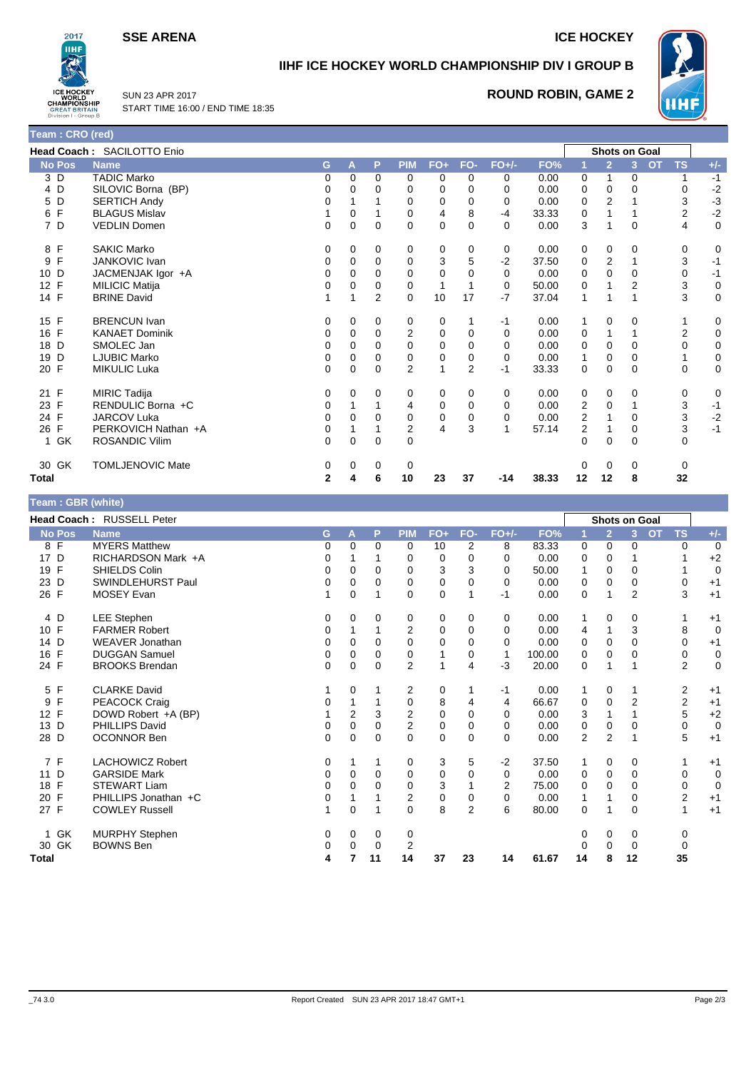**SSE ARENA ICE HOCKEY** 

**ROUND ROBIN, GAME 2**



## **IIHF ICE HOCKEY WORLD CHAMPIONSHIP DIV I GROUP B**



SUN 23 APR 2017 START TIME 16:00 / END TIME 18:35

| Team: CRO (red)      |                            |          |             |                |                |                |                |             |       |                |                      |              |           |           |             |
|----------------------|----------------------------|----------|-------------|----------------|----------------|----------------|----------------|-------------|-------|----------------|----------------------|--------------|-----------|-----------|-------------|
|                      | Head Coach: SACILOTTO Enio |          |             |                |                |                |                |             |       |                | <b>Shots on Goal</b> |              |           |           |             |
| No Pos               | <b>Name</b>                | G        | A           | P.             | <b>PIM</b>     | $FO+$          | FO-            | $FO+/-$     | FO%   |                | $\overline{2}$       | 3            | <b>OT</b> | <b>TS</b> | $+/-$       |
| 3D                   | <b>TADIC Marko</b>         | 0        | $\Omega$    | $\Omega$       | 0              | 0              | $\Omega$       | 0           | 0.00  | 0              | 1                    | 0            |           | 1         | $-1$        |
| D<br>4               | SILOVIC Borna (BP)         | 0        | 0           | $\Omega$       | 0              | 0              | 0              | 0           | 0.00  | 0              | 0                    | 0            |           | 0         | $-2$        |
| D<br>5               | <b>SERTICH Andy</b>        | 0        |             |                | 0              | 0              | 0              | $\Omega$    | 0.00  | 0              | 2                    |              |           | 3         | $-3$        |
| F<br>6               | <b>BLAGUS Mislav</b>       |          | 0           |                | 0              | 4              | 8              | $-4$        | 33.33 | 0              |                      | 1            |           | 2         | $-2$        |
| 7 D                  | <b>VEDLIN Domen</b>        | 0        | $\mathbf 0$ | $\Omega$       | $\Omega$       | $\mathbf 0$    | $\Omega$       | $\Omega$    | 0.00  | 3              |                      | $\mathbf 0$  |           | 4         | 0           |
| F<br>8               | <b>SAKIC Marko</b>         | 0        | 0           | $\Omega$       | 0              | 0              | 0              | 0           | 0.00  | 0              | 0                    | 0            |           | 0         | 0           |
| F<br>9               | JANKOVIC Ivan              | 0        | 0           | 0              | 0              | 3              | 5              | $-2$        | 37.50 | 0              | $\overline{2}$       |              |           | 3         | $-1$        |
| 10 <sup>1</sup><br>D | JACMENJAK Igor +A          | 0        | 0           | 0              | $\Omega$       | $\mathbf 0$    | 0              | 0           | 0.00  | 0              | $\Omega$             | 0            |           | 0         | $-1$        |
| 12<br>F              | <b>MILICIC Matija</b>      | 0        | 0           | 0              | 0              | $\mathbf{1}$   |                | 0           | 50.00 | 0              |                      | 2            |           | 3         | $\mathbf 0$ |
| 14 F                 | <b>BRINE David</b>         |          |             | $\overline{2}$ | $\Omega$       | 10             | 17             | $-7$        | 37.04 | 1              |                      | 1            |           | 3         | $\mathbf 0$ |
| 15 F                 | <b>BRENCUN Ivan</b>        | 0        | 0           | 0              | 0              | 0              | 1              | $-1$        | 0.00  | 1              | 0                    | 0            |           |           | 0           |
| 16 F                 | <b>KANAET Dominik</b>      | 0        | 0           | $\Omega$       | 2              | 0              | 0              | $\Omega$    | 0.00  | 0              |                      | 1            |           | 2         | $\pmb{0}$   |
| 18<br>D              | SMOLEC Jan                 | 0        | 0           | 0              | $\Omega$       | 0              | 0              | 0           | 0.00  | 0              | 0                    | 0            |           | 0         | $\pmb{0}$   |
| 19<br>D              | <b>LJUBIC Marko</b>        | 0        | 0           | 0              | 0              | $\mathbf 0$    | $\mathbf 0$    | $\mathbf 0$ | 0.00  | $\mathbf{1}$   | 0                    | 0            |           |           | $\pmb{0}$   |
| 20 F                 | <b>MIKULIC Luka</b>        | 0        | $\Omega$    | $\Omega$       | 2              | $\overline{1}$ | $\overline{2}$ | $-1$        | 33.33 | 0              | 0                    | 0            |           | 0         | 0           |
| 21 F                 | <b>MIRIC Tadija</b>        | 0        | 0           | 0              | 0              | 0              | 0              | 0           | 0.00  | 0              | 0                    | 0            |           | 0         | 0           |
| 23 F                 | RENDULIC Borna +C          | 0        |             |                | 4              | 0              | $\Omega$       | 0           | 0.00  | 2              | $\Omega$             | 1            |           | 3         | $-1$        |
| 24 F                 | <b>JARCOV Luka</b>         | 0        | 0           | 0              | 0              | 0              | 0              | $\mathbf 0$ | 0.00  | $\overline{2}$ |                      | 0            |           | 3         | $-2$        |
| F<br>26              | PERKOVICH Nathan +A        | 0        |             |                | $\overline{2}$ | 4              | 3              | 1           | 57.14 | 2              |                      | 0            |           | 3         | $-1$        |
| GK<br>$\mathbf{1}$   | <b>ROSANDIC Vilim</b>      | $\Omega$ | $\Omega$    | $\Omega$       | $\Omega$       |                |                |             |       | $\Omega$       | $\Omega$             | $\mathbf{0}$ |           | $\Omega$  |             |
| 30 GK                | <b>TOMLJENOVIC Mate</b>    | 0        | 0           | 0              | 0              |                |                |             |       | $\Omega$       | $\Omega$             | 0            |           | 0         |             |
| <b>Total</b>         |                            | 2        | 4           | 6              | 10             | 23             | 37             | $-14$       | 38.33 | 12             | 12                   | 8            |           | 32        |             |

|      | <b>No Pos</b> | <b>Name</b>          |
|------|---------------|----------------------|
| 8 F  |               | <b>MYERS Matthew</b> |
| 17 D |               | RICHARDSON Mark +A   |
| 19 F |               | SHIELDS Colin        |
| 23 D |               | SWINDLEHURST Paul    |
| 26 F |               | <b>MOSEY Evan</b>    |
|      |               |                      |

**Team : GBR (white)**

| Head Coach: RUSSELL Peter |                         |    |                |          |                |       | <b>Shots on Goal</b> |          |        |                |                |                |                        |                |
|---------------------------|-------------------------|----|----------------|----------|----------------|-------|----------------------|----------|--------|----------------|----------------|----------------|------------------------|----------------|
| <b>No Pos</b>             | <b>Name</b>             | G. | A              | P        | <b>PIM</b>     | $FO+$ | FO-                  | $FO+/-$  | FO%    |                | $\overline{2}$ | 3 <sup>1</sup> | <b>TS</b><br><b>OT</b> | $+/-$          |
| 8 F                       | <b>MYERS Matthew</b>    | 0  | 0              | $\Omega$ | 0              | 10    | 2                    | 8        | 83.33  | 0              | $\Omega$       | 0              | 0                      | $\overline{0}$ |
| 17 D                      | RICHARDSON Mark +A      | 0  |                |          | 0              | 0     | 0                    | 0        | 0.00   | 0              | 0              |                |                        | $+2$           |
| 19 F                      | SHIELDS Colin           | 0  | $\Omega$       | 0        | 0              | 3     | 3                    | $\Omega$ | 50.00  | 1              | 0              | 0              |                        | 0              |
| 23<br>D                   | SWINDLEHURST Paul       | 0  | 0              | $\Omega$ | 0              | 0     | 0                    | 0        | 0.00   | 0              | $\mathbf 0$    | 0              | 0                      | $+1$           |
| 26 F                      | <b>MOSEY Evan</b>       | 1  | $\Omega$       |          | $\Omega$       | 0     |                      | $-1$     | 0.00   | 0              | 1              | $\overline{2}$ | 3                      | $+1$           |
| 4 D                       | <b>LEE Stephen</b>      | 0  | 0              | 0        | 0              | 0     | 0                    | 0        | 0.00   | 1              | 0              | 0              |                        | $+1$           |
| 10 F                      | <b>FARMER Robert</b>    | 0  |                |          | $\overline{2}$ | 0     | 0                    | $\Omega$ | 0.00   | 4              |                | 3              | 8                      | $\mathbf 0$    |
| 14 D                      | <b>WEAVER Jonathan</b>  | 0  | $\Omega$       | 0        | 0              | 0     | 0                    | $\Omega$ | 0.00   | 0              | $\mathbf 0$    | 0              | 0                      | $+1$           |
| $\mathsf{F}$<br>16        | <b>DUGGAN Samuel</b>    | 0  | 0              | 0        | 0              |       | 0                    | 1        | 100.00 | 0              | 0              | 0              | 0                      | $\mathbf 0$    |
| 24 F                      | <b>BROOKS Brendan</b>   | 0  | $\Omega$       | $\Omega$ | $\overline{2}$ | 1     | 4                    | $-3$     | 20.00  | 0              | 1              |                | $\overline{2}$         | $\mathbf 0$    |
| 5 F                       | <b>CLARKE David</b>     |    | 0              |          | 2              | 0     |                      | $-1$     | 0.00   | 1              | 0              |                | 2                      | $+1$           |
| 9 F                       | <b>PEACOCK Craig</b>    | 0  |                |          | 0              | 8     | 4                    | 4        | 66.67  | 0              | $\mathbf 0$    | $\overline{2}$ | $\overline{2}$         | $+1$           |
| 12 F                      | DOWD Robert +A (BP)     |    | $\overline{2}$ | 3        | $\overline{2}$ | 0     | 0                    | 0        | 0.00   | 3              |                |                | 5                      | $+2$           |
| 13 D                      | PHILLIPS David          | 0  | $\Omega$       | 0        | $\overline{2}$ | 0     | 0                    | $\Omega$ | 0.00   | 0              | 0              | 0              | 0                      | $\mathbf 0$    |
| 28 D                      | <b>OCONNOR Ben</b>      | 0  | $\mathbf 0$    | 0        | 0              | 0     | 0                    | $\Omega$ | 0.00   | $\overline{2}$ | $\overline{2}$ |                | 5                      | $+1$           |
| 7 F                       | <b>LACHOWICZ Robert</b> | 0  |                |          | 0              | 3     | 5                    | $-2$     | 37.50  | 1              | $\mathbf 0$    | 0              |                        | $+1$           |
| 11 D                      | <b>GARSIDE Mark</b>     | 0  | $\Omega$       | $\Omega$ | 0              | 0     | 0                    | 0        | 0.00   | 0              | $\mathbf 0$    | 0              | 0                      | $\mathbf 0$    |
| $\mathsf{F}$<br>18        | <b>STEWART Liam</b>     | 0  | 0              | 0        | 0              | 3     |                      | 2        | 75.00  | 0              | 0              | 0              | 0                      | 0              |
| $\mathsf{F}$<br>20        | PHILLIPS Jonathan +C    | 0  |                |          | 2              | 0     | 0                    | 0        | 0.00   | 1              |                | 0              | 2                      | $+1$           |
| 27 F                      | <b>COWLEY Russell</b>   | 1  | $\Omega$       |          | $\Omega$       | 8     | $\overline{2}$       | 6        | 80.00  | 0              | 1              | 0              |                        | $+1$           |
| 1 GK                      | <b>MURPHY Stephen</b>   | 0  | 0              | 0        | 0              |       |                      |          |        | 0              | 0              | 0              | 0                      |                |
| 30 GK                     | <b>BOWNS Ben</b>        | 0  | 0              | 0        | 2              |       |                      |          |        | 0              | 0              | 0              | 0                      |                |
| Total                     |                         | 4  |                | 11       | 14             | 37    | 23                   | 14       | 61.67  | 14             | 8              | 12             | 35                     |                |